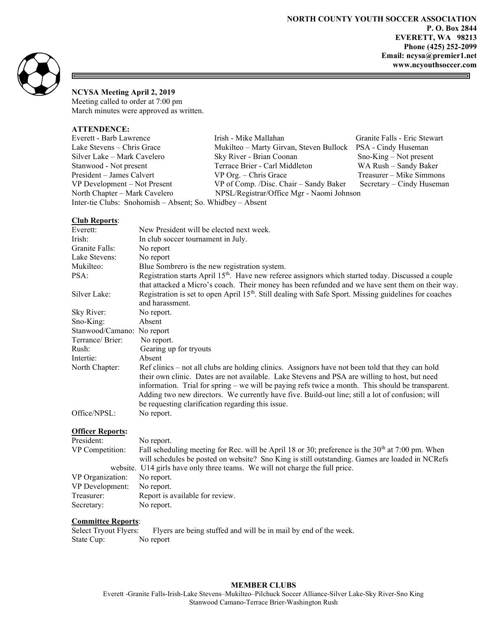5



同

# NCYSA Meeting April 2, 2019

Meeting called to order at 7:00 pm March minutes were approved as written.

# ATTENDENCE:

| Irish - Mike Mallahan                                       | Granite Falls - Eric Stewart |  |  |  |
|-------------------------------------------------------------|------------------------------|--|--|--|
| Mukilteo - Marty Girvan, Steven Bullock PSA - Cindy Huseman |                              |  |  |  |
| Sky River - Brian Coonan                                    | $Sno-King - Not present$     |  |  |  |
| Terrace Brier - Carl Middleton                              | WA Rush - Sandy Baker        |  |  |  |
| $VP$ Org. $-$ Chris Grace                                   | Treasurer – Mike Simmons     |  |  |  |
| VP of Comp. /Disc. Chair – Sandy Baker                      | Secretary – Cindy Huseman    |  |  |  |
| NPSL/Registrar/Office Mgr - Naomi Johnson                   |                              |  |  |  |
| Inter-tie Clubs: Snohomish – Absent; So. Whidbey – Absent   |                              |  |  |  |
|                                                             |                              |  |  |  |

### Club Reports:

| Everett:                   | New President will be elected next week.                                                                                                                                                                            |
|----------------------------|---------------------------------------------------------------------------------------------------------------------------------------------------------------------------------------------------------------------|
| Irish:                     | In club soccer tournament in July.                                                                                                                                                                                  |
| Granite Falls:             | No report                                                                                                                                                                                                           |
| Lake Stevens:              | No report                                                                                                                                                                                                           |
| Mukilteo:                  | Blue Sombrero is the new registration system.                                                                                                                                                                       |
| PSA:                       | Registration starts April 15 <sup>th</sup> . Have new referee assignors which started today. Discussed a couple<br>that attacked a Micro's coach. Their money has been refunded and we have sent them on their way. |
| Silver Lake:               | Registration is set to open April 15 <sup>th</sup> . Still dealing with Safe Sport. Missing guidelines for coaches<br>and harassment.                                                                               |
| Sky River:                 | No report.                                                                                                                                                                                                          |
| $Sno-King:$                | Absent                                                                                                                                                                                                              |
| Stanwood/Camano: No report |                                                                                                                                                                                                                     |
| Terrance/Brier:            | No report.                                                                                                                                                                                                          |
| Rush:                      | Gearing up for tryouts                                                                                                                                                                                              |
| Intertie:                  | Absent                                                                                                                                                                                                              |
| North Chapter:             | Ref clinics – not all clubs are holding clinics. Assignors have not been told that they can hold                                                                                                                    |
|                            | their own clinic. Dates are not available. Lake Stevens and PSA are willing to host, but need                                                                                                                       |
|                            | information. Trial for spring – we will be paying refs twice a month. This should be transparent.                                                                                                                   |
|                            | Adding two new directors. We currently have five. Build-out line; still a lot of confusion; will                                                                                                                    |
|                            | be requesting clarification regarding this issue.                                                                                                                                                                   |
| Office/NPSL:               | No report.                                                                                                                                                                                                          |

#### Officer Reports:

| President:       | No report.                                                                                         |  |
|------------------|----------------------------------------------------------------------------------------------------|--|
| VP Competition:  | Fall scheduling meeting for Rec. will be April 18 or 30; preference is the $30th$ at 7:00 pm. When |  |
|                  | will schedules be posted on website? Sno King is still outstanding. Games are loaded in NCRefs     |  |
|                  | website. U14 girls have only three teams. We will not charge the full price.                       |  |
| VP Organization: | No report.                                                                                         |  |
| VP Development:  | No report.                                                                                         |  |
| Treasurer:       | Report is available for review.                                                                    |  |
| Secretary:       | No report.                                                                                         |  |
|                  |                                                                                                    |  |

Committee Reports:<br>Select Tryout Flyers: Flyers are being stuffed and will be in mail by end of the week. State Cup: No report

## MEMBER CLUBS